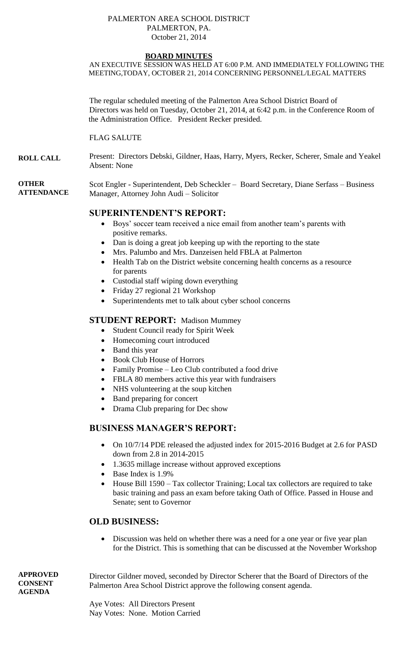#### PALMERTON AREA SCHOOL DISTRICT PALMERTON, PA. October 21, 2014

### **BOARD MINUTES**

AN EXECUTIVE SESSION WAS HELD AT 6:00 P.M. AND IMMEDIATELY FOLLOWING THE MEETING,TODAY, OCTOBER 21, 2014 CONCERNING PERSONNEL/LEGAL MATTERS

The regular scheduled meeting of the Palmerton Area School District Board of Directors was held on Tuesday, October 21, 2014, at 6:42 p.m. in the Conference Room of the Administration Office. President Recker presided.

FLAG SALUTE

**ROLL CALL** Present: Directors Debski, Gildner, Haas, Harry, Myers, Recker, Scherer, Smale and Yeakel Absent: None

#### **OTHER ATTENDANCE** Scot Engler - Superintendent, Deb Scheckler – Board Secretary, Diane Serfass – Business Manager, Attorney John Audi – Solicitor

## **SUPERINTENDENT'S REPORT:**

- Boys' soccer team received a nice email from another team's parents with positive remarks.
- Dan is doing a great job keeping up with the reporting to the state
- Mrs. Palumbo and Mrs. Danzeisen held FBLA at Palmerton
- Health Tab on the District website concerning health concerns as a resource for parents
- Custodial staff wiping down everything
- Friday 27 regional 21 Workshop
- Superintendents met to talk about cyber school concerns

### **STUDENT REPORT:** Madison Mummey

- Student Council ready for Spirit Week
- Homecoming court introduced
- Band this year
- Book Club House of Horrors
- Family Promise Leo Club contributed a food drive
- FBLA 80 members active this year with fundraisers
- NHS volunteering at the soup kitchen
- Band preparing for concert
- Drama Club preparing for Dec show

## **BUSINESS MANAGER'S REPORT:**

- On 10/7/14 PDE released the adjusted index for 2015-2016 Budget at 2.6 for PASD down from 2.8 in 2014-2015
- 1.3635 millage increase without approved exceptions
- Base Index is 1.9%
- House Bill 1590 Tax collector Training; Local tax collectors are required to take basic training and pass an exam before taking Oath of Office. Passed in House and Senate; sent to Governor

## **OLD BUSINESS:**

 Discussion was held on whether there was a need for a one year or five year plan for the District. This is something that can be discussed at the November Workshop

**APPROVED CONSENT AGENDA** 

Director Gildner moved, seconded by Director Scherer that the Board of Directors of the Palmerton Area School District approve the following consent agenda.

Aye Votes: All Directors Present Nay Votes: None. Motion Carried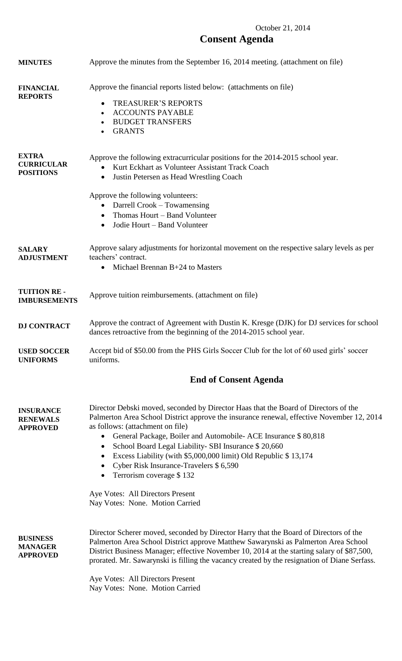# October 21, 2014 **Consent Agenda**

| <b>MINUTES</b>                                         | Approve the minutes from the September 16, 2014 meeting. (attachment on file)                                                                                                                                                                                                                                                                                                                                                                                                                                                                                                                       |
|--------------------------------------------------------|-----------------------------------------------------------------------------------------------------------------------------------------------------------------------------------------------------------------------------------------------------------------------------------------------------------------------------------------------------------------------------------------------------------------------------------------------------------------------------------------------------------------------------------------------------------------------------------------------------|
| <b>FINANCIAL</b><br><b>REPORTS</b>                     | Approve the financial reports listed below: (attachments on file)<br><b>TREASURER'S REPORTS</b><br>$\bullet$<br><b>ACCOUNTS PAYABLE</b><br>$\bullet$<br><b>BUDGET TRANSFERS</b><br>$\bullet$<br><b>GRANTS</b>                                                                                                                                                                                                                                                                                                                                                                                       |
| <b>EXTRA</b><br><b>CURRICULAR</b><br><b>POSITIONS</b>  | Approve the following extracurricular positions for the 2014-2015 school year.<br>Kurt Eckhart as Volunteer Assistant Track Coach<br>Justin Petersen as Head Wrestling Coach<br>$\bullet$<br>Approve the following volunteers:<br>Darrell Crook – Towamensing<br>$\bullet$<br>Thomas Hourt - Band Volunteer<br>$\bullet$<br>Jodie Hourt – Band Volunteer<br>$\bullet$                                                                                                                                                                                                                               |
| <b>SALARY</b><br><b>ADJUSTMENT</b>                     | Approve salary adjustments for horizontal movement on the respective salary levels as per<br>teachers' contract.<br>Michael Brennan B+24 to Masters<br>$\bullet$                                                                                                                                                                                                                                                                                                                                                                                                                                    |
| <b>TUITION RE-</b><br><b>IMBURSEMENTS</b>              | Approve tuition reimbursements. (attachment on file)                                                                                                                                                                                                                                                                                                                                                                                                                                                                                                                                                |
| <b>DJ CONTRACT</b>                                     | Approve the contract of Agreement with Dustin K. Kresge (DJK) for DJ services for school<br>dances retroactive from the beginning of the 2014-2015 school year.                                                                                                                                                                                                                                                                                                                                                                                                                                     |
| <b>USED SOCCER</b><br><b>UNIFORMS</b>                  | Accept bid of \$50.00 from the PHS Girls Soccer Club for the lot of 60 used girls' soccer<br>uniforms.                                                                                                                                                                                                                                                                                                                                                                                                                                                                                              |
|                                                        | <b>End of Consent Agenda</b>                                                                                                                                                                                                                                                                                                                                                                                                                                                                                                                                                                        |
| <b>INSURANCE</b><br><b>RENEWALS</b><br><b>APPROVED</b> | Director Debski moved, seconded by Director Haas that the Board of Directors of the<br>Palmerton Area School District approve the insurance renewal, effective November 12, 2014<br>as follows: (attachment on file)<br>General Package, Boiler and Automobile- ACE Insurance \$ 80,818<br>$\bullet$<br>School Board Legal Liability-SBI Insurance \$20,660<br>$\bullet$<br>Excess Liability (with \$5,000,000 limit) Old Republic \$13,174<br>٠<br>Cyber Risk Insurance-Travelers \$ 6,590<br>٠<br>Terrorism coverage \$132<br>Aye Votes: All Directors Present<br>Nay Votes: None. Motion Carried |
| <b>BUSINESS</b><br><b>MANAGER</b><br><b>APPROVED</b>   | Director Scherer moved, seconded by Director Harry that the Board of Directors of the<br>Palmerton Area School District approve Matthew Sawarynski as Palmerton Area School<br>District Business Manager; effective November 10, 2014 at the starting salary of \$87,500,<br>prorated. Mr. Sawarynski is filling the vacancy created by the resignation of Diane Serfass.<br>Aye Votes: All Directors Present                                                                                                                                                                                       |

Nay Votes: None. Motion Carried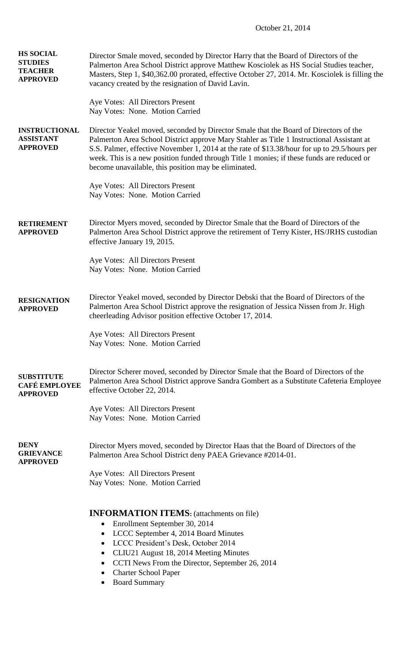#### October 21, 2014

| <b>HS SOCIAL</b><br><b>STUDIES</b><br><b>TEACHER</b><br><b>APPROVED</b> | Director Smale moved, seconded by Director Harry that the Board of Directors of the<br>Palmerton Area School District approve Matthew Kosciolek as HS Social Studies teacher,<br>Masters, Step 1, \$40,362.00 prorated, effective October 27, 2014. Mr. Kosciolek is filling the<br>vacancy created by the resignation of David Lavin.                                                                                                 |
|-------------------------------------------------------------------------|----------------------------------------------------------------------------------------------------------------------------------------------------------------------------------------------------------------------------------------------------------------------------------------------------------------------------------------------------------------------------------------------------------------------------------------|
|                                                                         | Aye Votes: All Directors Present<br>Nay Votes: None. Motion Carried                                                                                                                                                                                                                                                                                                                                                                    |
| <b>INSTRUCTIONAL</b><br><b>ASSISTANT</b><br><b>APPROVED</b>             | Director Yeakel moved, seconded by Director Smale that the Board of Directors of the<br>Palmerton Area School District approve Mary Stahler as Title 1 Instructional Assistant at<br>S.S. Palmer, effective November 1, 2014 at the rate of \$13.38/hour for up to 29.5/hours per<br>week. This is a new position funded through Title 1 monies; if these funds are reduced or<br>become unavailable, this position may be eliminated. |
|                                                                         | Aye Votes: All Directors Present<br>Nay Votes: None. Motion Carried                                                                                                                                                                                                                                                                                                                                                                    |
| <b>RETIREMENT</b><br><b>APPROVED</b>                                    | Director Myers moved, seconded by Director Smale that the Board of Directors of the<br>Palmerton Area School District approve the retirement of Terry Kister, HS/JRHS custodian<br>effective January 19, 2015.                                                                                                                                                                                                                         |
|                                                                         | Aye Votes: All Directors Present<br>Nay Votes: None. Motion Carried                                                                                                                                                                                                                                                                                                                                                                    |
| <b>RESIGNATION</b><br><b>APPROVED</b>                                   | Director Yeakel moved, seconded by Director Debski that the Board of Directors of the<br>Palmerton Area School District approve the resignation of Jessica Nissen from Jr. High<br>cheerleading Advisor position effective October 17, 2014.                                                                                                                                                                                           |
|                                                                         | Aye Votes: All Directors Present<br>Nay Votes: None. Motion Carried                                                                                                                                                                                                                                                                                                                                                                    |
| <b>SUBSTITUTE</b><br><b>CAFÉ EMPLOYEE</b><br><b>APPROVED</b>            | Director Scherer moved, seconded by Director Smale that the Board of Directors of the<br>Palmerton Area School District approve Sandra Gombert as a Substitute Cafeteria Employee<br>effective October 22, 2014.                                                                                                                                                                                                                       |
|                                                                         | Aye Votes: All Directors Present<br>Nay Votes: None. Motion Carried                                                                                                                                                                                                                                                                                                                                                                    |
| <b>DENY</b><br><b>GRIEVANCE</b><br><b>APPROVED</b>                      | Director Myers moved, seconded by Director Haas that the Board of Directors of the<br>Palmerton Area School District deny PAEA Grievance #2014-01.                                                                                                                                                                                                                                                                                     |
|                                                                         | Aye Votes: All Directors Present<br>Nay Votes: None. Motion Carried                                                                                                                                                                                                                                                                                                                                                                    |
|                                                                         | <b>INFORMATION ITEMS:</b> (attachments on file)<br>Enrollment September 30, 2014<br>$\bullet$<br>LCCC September 4, 2014 Board Minutes<br>$\bullet$<br>LCCC President's Desk, October 2014<br>$\bullet$<br>CLIU21 August 18, 2014 Meeting Minutes<br>$\bullet$<br>CCTI News From the Director, September 26, 2014<br>٠<br><b>Charter School Paper</b>                                                                                   |

Board Summary